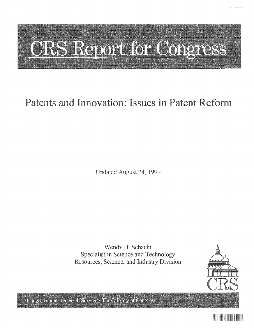# <u>ORS Report for Congress</u>

# Patents and Innovation: Issues in Patent Reform

Updated August 24, 1999

Wendy H. Schacht Specialist in Science and Technology Resources, Science, and Industry Division



Congressional Research Service . The Library of Congress

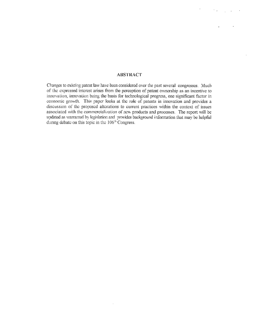#### **ABSTRACT**

Changes to existing patent law have been considered over the past several congresses. Much of the expressed intrest arises from the perception of patent ownership as an incentive to innovation, innovation being the basis for technological progress, one significant factor in -conomic growth, This paper looks at the role of patents in innovation and provides a discussion of the proposed alterations to current practices within the context of issues associated with the commercialization of new products and processes. The report will be updated as warranted by legislation and provides background information that may be helpful during debate on this topic in the 106<sup>th</sup> Congress.

i,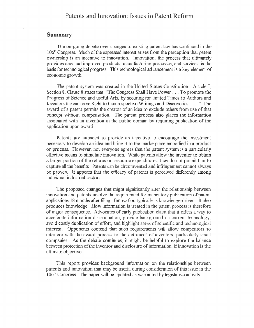#### Summary

The on-going debate over changes to existing patent law has continued in the **106"** Congress. Much of the expressed interest arises from the perception that patent ownership is an incentive to innovation, Innovation, the process that ultimately provides new and improved products, manufacturing processes, and services, is the basis for technological progress, This technological advancement is a key element of economic growth.

The patent system was created in the United States Constitution. Article **1,** Section 8, Clause 8 states that "The Congress Shall Have Power, To promote the Progress of Science and useful Arts, by securing for limited Times to Authors and Inventors the exclusive Right to their respective Writings and Discoveries . . . ." The award of a patent permits the creator of an idea to exclude others from use of that concept without compensation. The patent process also places the information associated with an invention in the public domain by requiring publication of the application upon award.

Patents are intended to provide an incentive to encourage the investment necessary to develop an idea and bring it to the marketplace embodied in a product or process. However, not everyone agrees that the patent system is a particularly effective means to stimulate innovation. While patents allow the inventor to obtain a larger portion of the returns on resource expenditures, they do not permit him to capture all the benefits Patents can be circumvented and infringement cannot always be proven. It appears that the efficacy of patents is perceived differently among individual industrial sectors,

The proposed changes that might significantly alter the relations between innovation and patents involve the requirement for mandatory publication of patent applications 18 months after filing. Innovation typically is knowledge-driven. It also produces knowledge. How information is treated in the patent process is therefore of major consequence. Advocates of early publication claim that it offers a way to accelerate information dissemination, provide background on current technology, avoid costly duplication of effort, and highlight areas of scientific and technological interest. Opponents contend that such requirements will allow competitors to interfere with the award process to the detriment of inventors, particularly small companies. As the debate continues, it might be helpful to explore the balance between protection of the inventor and disclosure of information, if innovation is the ultimate objective.

This report provides background information on the relationships between patents and innovation that may be useful during consideration of this issue in the  $106<sup>th</sup> Congress.$  The paper will be updated as warranted by legislative activity.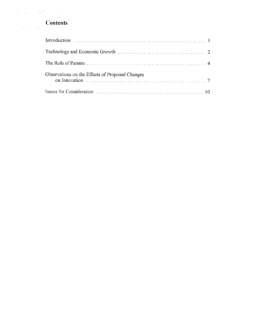## **Contents**

| Observations on the Effects of Proposed Changes |  |
|-------------------------------------------------|--|
|                                                 |  |

 $\mathbb{Z}$ 

 $\ddot{\phantom{a}}$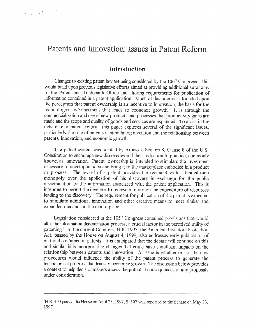# Patents and Innovation: Issues in Patent Reform

 $\frac{1}{2} \left( \frac{1}{2} \right)^{2} \left( \frac{1}{2} \right)^{2}$ 

#### Introduction

Changes to existing patent law are being considered by the 106<sup>th</sup> Congress. This would **bid** upon previous legislative efforts aimed at providing additional autonomy to the Patent and Trademark Office and altering requirements for publication of information contained in a patent application. Much of this interest is founded upon the percption that patent oxnership is an incentive to innovation, the basis for the technological advancement that leads to economic growth. It is through the commercialization and use of new products and processes that productivity gains are made and the scope and quality of goods and services are expanded. To assist in the debate over patent reform, this paper explores several of the significant issues, particularly the role of patents in stimulating invention and the relationship between patents, innovation, and economic growth

The patent system was created by Article I, Section 8, Clause 8 of the U.S. Constitution to encourage new discoveries and their reduction to practice, commonly known as innovation. Patent ownership is intended to stimulate the investment necessary to develop an idea and bring it to the marketplace embodied in a product or process. The award of a patent provides the recipient with a limited-time monopoly over the application of his discovery in exchange for the public dissemination of the information associated with the patent application. This is intended to permit the inventor to receive a return on the expenditure of resources leading to the discovery. The requirement for publication of the patent is expected to stimulate additional innovation and other cr means to meet similar and expanded demands in the marketplace.

Legislation considered in the **105"'** Congress contained provisions that would alter the information dissemination process, a crucial factor in the perceived utility of patenting. **t** In the current Congress, H.R. 1907, the American Inventors Protection Act, passed by the House on August 4, 1999, also addresses early publication of material contained in patents. It is anticipated that the debate will continue on this and similar bills incorporating changes that could have significant impacts on the relationship between patents and innovation. At issue is whether or not the new procedures would influence the ability of the patent process to generate the technological progress that leads to economic growth, The discussion below provides a context to help decisionmakers assess the potential consequences of any proposals under consideration,

<sup>&</sup>lt;sup>1</sup>H.R. 400 passed the House on April 23, 1997; S. 507 was reported to the Senate on May 23, 1997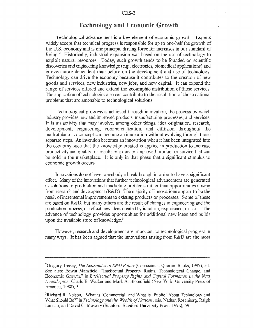#### Technology and Economic Growth

Technological advancement is a key element of economic growth, Experts widely accept that technical progress is responsible for up to one-half the growth of the U. **S.** economy and is one principal driving force for increases in our standard of living.<sup>2</sup> Historically, industrial expansion was based on the use of technology to exploit natural resources. Today, such growth tends to be founded on scientific discoveries and engineering knowledge (e.g., electronics, biomedical applications) and is even more dependent than before on the development and use of technology, Technology can drive the economy because it contributes to the creation of new goods and services, new industries, new jobs, and new capital, It can expand the range of services offered and extend the geographic distribution of those services. The application of technologies also can contribute to the resolution of those national problems that are amenable to technological solutions.

Fechnological progress is achieved through innovation, the process by which ndustry provides new and improved products, manufacturing processes, and services. It is an activity that may involve, among other things, idea origination, research, development, engineering, commercialization, and diffusion throughout the marketplace. A concept can become an innovation without evolving through those separate steps. An invention becomes an innovation when it has been integrated into the economy such that the knowledge created is applied in production to increase productivity and quality, or results in a new or improved product or service that can be sold in the marketplace. It is only in that phase that a significant stimulus to economic growth occurs.

Innovations do not have to embody a breakthrough in order to have a significant effect. Many of the innovations that further technological advancement are generated as solutions to production and marketing problems rather than opportunities arising from research and development (R&D). The majority of innovations appear to be the result of incremental improvements to existing products or processes. Some of these are based on  $R&D$ , but many others are the result of changes in engineering and the production process, or reflect new ideas created by intuition, experience, or skill. The advance of technology provides opportunities for additional new ideas and builds upon the available store of knowledge. $3$ 

However, research and development are important to technological progress in many ways. It has been argued that the innovations arising from R&D are the most

<sup>2</sup> Gregory Tassey, *The Economics of R&D Policy* (Connecicut: Quorum Books, 1997), 54. See also: Edwin Mansfield, "Intellectual Properx Rights, Technological Change, and Economic Growth,'\* in *Intellectual Poperiy Rights and Capital Formation in the Next Decade,* eds. Charls **E** Walker and Mark **A.** Bloomfield (New York: University Press of America, 1988), **5.**

<sup>3</sup>Richard R. Nelson, "What is 'Commercial' and What is 'Public' About Technology and What Should Be?" in *Technology and the Wealth of Nations*, eds. Nathan Rosenberg, Ralph Landau, and David C. Mowery (Stanford: Stanford University Press, 1992), 59.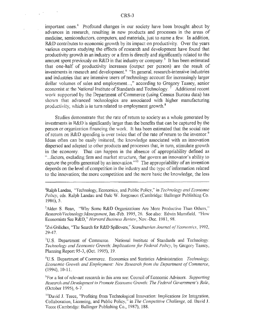important ones.<sup>4</sup> Profound changes in our society have been brought about by advances in research, resulting in new products and processes in the areas of medicine, semiconductors, computers, and materials, just to name a few, In addition, R&D contributes to economic growth by its impact on productivity. Over the years various experts studying the effects of research and development have found that productivity growth in an industry or a firm is directly and significantly related to the amount spent previously on R&D in that industry or company.<sup>5</sup> It has been estimated that one-half of productivity increases (output per person) are the result of investments in research and development.<sup>6</sup> "In general, research-intensive industries and industries that are intensive users of technology account for increasingly larger dollar volumes of sales and employment...," according to Gregory Tassey, senior economist at the National Institute of Standards and Technology.<sup>7</sup> Additional recent work-supported by the Department of Commerce (using Census Bureau data) has shown that advanced technologies are associated with higher manufacturing productivity, which is in turn related to employment growth.<sup>8</sup>

Studies demonstrate that the rate of return to society as a whole generated by investments in R&D is significantly larger than the benefits that can be captured by the person or organization financing the work. It has been estimated that the social rate of return on R&D spending is over twice that of the rate of return to the inventor.<sup>9</sup> Ideas often can be easily imitated, the knowledge associated with an innovation dispersed and adapted to other products and processes that, in turn, stimulate growth in the economy. That can happen in the absence of appropriability defined as "...factors, excluding firm and market structure, that govern an innovator's ability to capture the profits generated by an innovation."<sup>10</sup> The appropriability of an invention depends on the level of competition in the industry and the type of information related to the innovation; the more competition and the more basic the knowledge, the less

<sup>5</sup>Alden S. Bean, "Why Some R&D Organizations Are More P. *Research I'echnology Management,* Jan.-Feb. 1995, **26.** See also Economists See R&D," *Harvard Business Review,* Nov.-Dec. **19:**

<sup>6</sup>Zvi Griliches, "The Search for R&D Spillovers," Scandinavian Journal of Econor 29-47.

<sup>7</sup>U.S. Department of Commerce. National Institute of Standards and Technology Technology and Economic Growth: Implications for Federal Policy, by Gregory Tassey, Planning Report 95-3, (Oct. 1995), **19**

**'U.S.** Department of Commerce. Economics and Statistics Adriniistration *Technology, Economic Growth and Fmplojment: New Research from the Department of Commerce,* (1994), 10-11

'For a list of relevant research in this area see Council of Economic Advisors. *Supporting Research and Development to Promote Economic Growth: The RFederal Government's Role,* (October 1995), 6-7.

<sup>10</sup>David J. Teece, "Profiting from Technological Innovation: Implications for Integration Collaboration, Licensing, and Public Policy," in *The Competitive Challenge,* **ed.** David **J.** Tecce (Cambridge: Ballinger Publishing Co., 1987), 188

<sup>4</sup> Ralph Landau, "Technology, Econonics and Publ Policy, eds. Ralph Landau and Dale W. Jorgenson (Cambridge: Ballinger Publishing Co. 1986), **5.**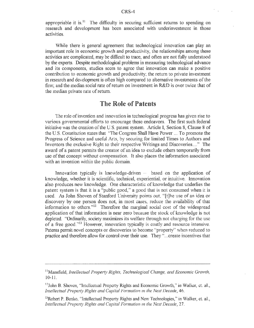appropriable it is.<sup>11</sup> The difficulty in securing sufficient returns to spending on research and development has been associated with underinvestment in those activities.

While there is general agreement that technological innovation can play an important role in economic growth and productivity, the relationships among these activities are complicated, may be difficult to trace, and often are not fully understood by the experts. Despite methodological problems in measuring technological advance and its components, studies seem to agree that innovation can make a positive contribution to economic growth and productivity; the return to private investment in research and development is often high compared to alternative investments of the firm; and the median social rate of return on investment in  $R&D$  is over twice that of the median private rate of return.

#### The Role of Patents

various governmental efforts to encourage these endeavors. The first such federal initiative was the creation of the U.S. patent system. Article I, Section 8, Clause 8 of the U.S. Constitution states that "The Congress Shall Have Power ... To promote the Progress of Science and useful Arts, by securing for limited Times to Authors and Inventors the exclusive Right to their respective Writings and Discoveries...." The award of a patent permits the creator of an idea to exclude others temporarily from use of that concept without compensation. It also places the information associated with an invention within **I p** The role of invention and innovation in technological progress has given rise to

Innovation typically is knowledge-driven ... based on the application of knowledge, whether it is scientific, technical, experiential, or intuitive. Innovation also produces new knowledge. One characteristic of knowledge that underlies the patent system is that it is a "public good," a good that is not consumed when it is used. As John Shoven of Stanford University points out, "[t]he use of an idea or discovery by one person does not, in most cases, reduce the availability of that information to others." $12$  Therefore the marginal social cost of the widespread application of that information is near zero because the stock of knowledge is not depleted. "Ordinarily, society maximizes its welfare through not charging for the usc of a free good."<sup>13</sup> However, innovation typically is costly and resource intensive. Patents permit novel concepts or discoveries to become "property" when reduced to practice and therefore allow for control over their use. They **"..** create

<sup>&</sup>lt;sup>11</sup>Mansfield, *Intellectual Property Rights, Technological Change, and Economic Growth,* 10-11.

 $13$ John B. Shoven, "Intellectual Property Rights and Economic Growth," in Walker, et. al., *Intellectual Property Rights and Capital Formation in the Next Decade, 46.* 

 $<sup>13</sup>$ Robert P. Benko, "Intellectual Property Rights and New Technologies," in Walker, et. al.,</sup> *Intellectual Property Rights and Capital Formation in the Next Decade, 27.*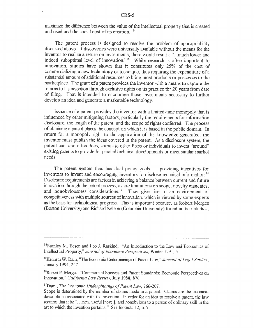maximize the difference between the value of the intellectual property that is created and used and the social cost of its creation."<sup>14</sup>

The patent process is designed to resolve the problem of appropriability discussed above, **If** discoveries were universally available without the means for the inventor to realize a return on investments, there would result a "..much lower and indeed suboptimal level of innovation." $15$  While research is often important to innovation, studies have shown that it constitutes only 25% of the cost of commercializing a new technology or technique, thus requiring the expenditure of a substantial amount of additional resources to bring most products or processes to the marketplace. The grant of a patent provides the inventor with a means to capture the returns to his invention through exclusive rights on its practice for 20 years from date of filing, That is intended to encourage those investments necessary to further develop an idea and generate a marketable technology.

influenced by other mitigating factors, particularly the requirements for information disclosure, the length of the patent, and the scope of rights conferred. The process of obtaining a patent places the concept on which it is based in the public domain. In return for a monopoly right to the application of the knowledge generated, the inventor must publish the ideas covered in the patent. As a disclosure system, the patent can, and often does, stimulate other firms or individuals to invent "around" existing patents to provide for parallel technical developments or meet similar market needs. Issuance of a patent provides the inventor with a limited-time monopoly that is

The patent system thus has dual policy goals — providing incentives for inventors to invent and encouraging inventors to disclose technical information.<sup>1</sup> Disclosure requirements are factors in achieving a balance between current and future innovation through the patent process, as are limitations on scope, novelty mandates, and nonobviousness considerations.<sup>17</sup> They give rise to an environment of competitiveness with multiple sources of innovation, which is viewed by some experts as the basis for technological progress. This is important because, as Robert Merges (Boston University) and Richard Nelson (Columbia University) found in their studies.

<sup>&</sup>lt;sup>14</sup> Stanley M. Besen and Leo J. Raskind, "An Introduction to the Law and Economics of Intellectual Property,'" *Journal oj' Ecoomic Perspectives,* Winter 1991,

<sup>&</sup>lt;sup>15</sup> Kenneth W. Dam, "The Economic Underpinnings of Patent Law," Journal of Legal Studies, January 1994, 247

<sup>6</sup> Robert P. Merges, "Commercial Success and Patent Standards: Economic Perspectives on Innovation," *California Law Review*, July 1988, 876,

<sup>&</sup>lt;sup>17</sup>Dam, *The Economic Underpinnings of Patent Law*, 266-267.

Scope is determined **by** the number of claims made in a patent. Claims are the technical descriptions associated with the invention. In order for an idea to receive a patent, the law requires that it be "... new, useful [novel], and nonobvious to a person of ordinary skill in the art to which the invention pertains," See footnote 12, **p, 7.**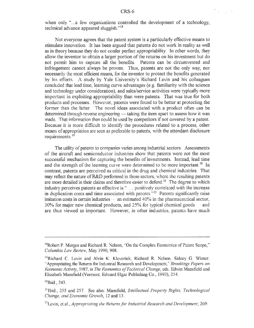when only "...a few organizations controlled the development of a technology, technical advance appeared sluggish."<sup>18</sup>

Not everyone agrees that the patent system is a particularly effective means to stimulate innovation, It has been argued that patents do not work in reality as well as in theory because they do not confer perfect appropriablity. In other words, they allow the inventor to obtain a larger portion of the returns on his investment but do not permit him to capture all the benefits. Patents can be circumvented and infringement cannot always be proven. Thus, patents are not the only way, nor necessarily the most efficient means, for the inventor to protect the benefits generated by his efforts, **A** study by Yale University's Richard Levin and his colleagues concluded that lead time, learning curve advantages (e.g. familiarity with the science and technology under consideration), and sales/service activities were typically more important in exploiting appropriability than were patents. That was true for both products and processes. However, patents were found to be better at protecting the former than the latter, The novel ideas associated with a product often can be determined through reverse engineering — taking the item apart to assess how it was made, That information then could **be** used by competitors if not covered by a patent. Because it is more difficult to identify the procedures related to a process, other means of appropriation are seen as preferable to patents, with the attendant disclosure requirements.<sup>19</sup>

The utility of patents to companies varies among industrial sectors. Assessments of the aircraft and semiconductor industries show that patents were not the most successful mechanism for capturing the benefits of investments. Instead, lead time and the strength of the learning curve were determined to be more important.<sup>20</sup> In contrast, patents are perceived as critical in the drug and chemical industries. That may reflect the nature of R&D performed in those sectors, where the resulting patents are more detailed in their claims and therefore easier to defend.<sup>21</sup> The degree to which industry perceives patents as effective is ". . . positively correlated with the increase in duplication costs and time associated with patents.<sup>222</sup> Patents significantly raise imitation costs in certain industries  $\cdot$  an estimated 40% in the pharmaceutical sector, **30%** for major new chemical products, and 2 **5%** for t and are thus viewed as important. However, in other in

<sup>&</sup>lt;sup>18</sup>Robert P. Merges and Richard R. Nelson, "On the Complex Economics of Patent Scope," *Columbia Law Review, May 1990, 908.* 

<sup>&</sup>lt;sup>19</sup>Richard C. Levin and Alvin K. Klevorick, Richard R. Nelson, Sidney G. Winter, "Appropiating the Returns for Industrial Research and Development,' *Brookings Papers on economic Actiw* **0,, 1987,** in *The Fconomics of Technical Change,* eds. Edwin Mansfield and Elizabeth Mansfield (Vermont, Edward Elgar Publishing Co., 1993), 254

 $2^{20}$ Ibid., 243.

<sup>2</sup>Ibid, **255** and 257. See also: Mansfield, *Intellectual Property Rights, Technological Change, and Economic Growth, 12 and 13.* 

<sup>&</sup>lt;sup>22</sup>Levin, et.al., *Appropriating the Returns for Industrial Research and Development*, 269.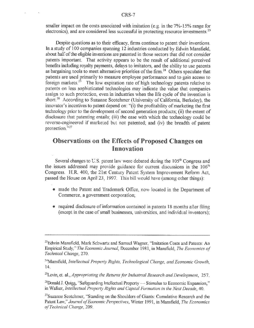smaller impact on the costs associated with imitation **(e.g.** in the 7%-15% range for electronics), and are considered less successful in protecting resource investments.<sup>23</sup>

Despite questions as to their efficacy, firms continue to patent their inventions, In a study of 100 companies spanning 12 industries conducted by Edwin Mansfield, about half of the eligible inventions are patented in those sectors that did not consider patents important. That activity appears to be the result of additional perceived benefits including royalty payments, delays to imitators, and the ability to use patents as bargaining tools to meet alternative priorities of the firm.<sup>24</sup> Others speculate that patents are used primarily to measure employee performance and to gain access to foreign markets.<sup>25</sup> The low expiration rate of high technology patents relative to patents on less sophisticated technologies may indicate the value that companies assign to such protection, even in industries when the life cycle of the invention is short.<sup>26</sup> According to Suzanne Scotchmer (University of California, Berkeley), the innovator's incentives to patent depend on: "(i) the profitability of marketing the first technology prior to the development of second generation products; (ii) the extent of disclosure that patenting entails; (iii) the ease with which the technology could be reverse-engineered if marketed but not patented; and (iv) the breadth of patent protection."<sup>27</sup>

### Observations on the Effects of Proposed Changes on Innovation

Several changes to **U.S.** patent law were debated during the **105"** Congress and the issues addressed may provide guidance for current discussions in the 106' Congress. H.R. 400, the 21st Century Patent System Improvement Reform Act, passed the House on April 23, 1997. This bill would have (among other things):

- made the Patent and Trademark Office, now located in the Department of Commerce, a government corporation,
- \* required disclosure of information contained in parents **18** months after filing (except in the case of small businesses, universities, and individual inventors);

<sup>&</sup>lt;sup>23</sup> Edwin Mansfield, Mark Schwartz and Samuel Wagner, "Imitation Costs and Patents: An Empirical Study," *The Econonnc Journal,* December 1981, in Mansfield, *The Economics of Technical Change,* 270.

<sup>&</sup>lt;sup>4</sup>Mansfield, *Intellectual Property Rights, Technological Change, and Economic Growth,* 14.

<sup>&</sup>lt;sup>25</sup>Levin, et. al., *Appropriating the Returns for Industrial Research and Development, 257,* 

<sup>&</sup>lt;sup>26</sup> Donald J, Quigg, "Safeguarding Intellectual Property — Stimulus to Economic Expansion." in Walker, *Intellectual Properly Rights and Capital Formation in the Next Decade, 40,*

<sup>&</sup>lt;sup>27</sup>Suzanne Scotchmer, "Standing on the Shoulders of Giants: Cumulative Research and the Patent Law," Journal of Economic Perspectives, Winter 1991, in Mansfield, *The Economics qolTechnical Change,* 209.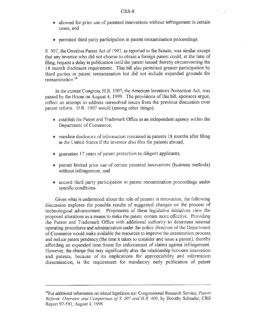- allowed for prior use of patented innovations without infringement in certain cases; and
- permited third party participation in patent reexamination proceedings.

**S** 507, the Omnibus Paent Act of **1997,** as reported to the Senate, was similar except that any inventor who did not choose to obtain a foreign patent could, at the time of filing, request a delay in publication until the patent issued thereby circumventing the 18 month disclosure requirement. This bill also permitted greater participation by third parties in patent reexamination but did not include expanded grounds for reexamination $28$ 

In the current Congress, H.R. 1907, the American Inventors Protection Act, was passed by the House on August 4, 1999. The provisions of this bill, sponsors argue, reflect an attempt to address unresolved issues from the previous discussion over patent reform. H.R. 1907 would (among other things):

- cstablish the Patent and Trademark Office as an independent agency within the Department of Commerce;
- **•** mandate disclosure of information contained in patents 18 months after filing in the United States if the inventor also files for patents abroad,
- \* guarantee **17** years of patent protection to diligent applicants;
- permit limited prior use of certain patented innovations (business methods) without infringement; and
- **e** accord third party participation in patent reexamination proceedings under specific conditions.

Given what is understood about the role of patents in innovation, the following discussion explores the possible results of suggested changes on the process of technological advancement, Proponents of these legislative initiatives view the proposed alterations as a means to make the patent system more effective. Providin the Patent and Trademark Office with additional authority to determine internal operating procedures and administration under the policy direction of the Departm of Commerce would make available the resources to improve the examination process and reduce patent pendency (the time it takes to consider and issue a patent), thereby affording an expanded time frame for enforcement of claims against infringement. However, the change that may significantly alter the relationship between innovation and patents, because of its implications for appropriability and information dissemination, is the requirement for mandatory early publication of patent

<sup>&</sup>lt;sup>28</sup> For additional information on related legislation sec: Congressional Research Service, Patent *Reform: Overviea and Comparison of S 507 and H.R, 400,* by Dorothy Schrader, CRS Report **97-591,** August 4, 1998.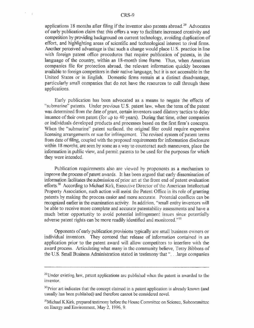applications 18 months after filing if the inventor also patents abroad.<sup>29</sup> Advocates of early publication claim that this offers a way to facilitate increased creativity and competition by providing background on current technology, avoiding duplication of effort, and highlighting areas of scientific and technological interest to rival firms. Another perceived advantage is that such a change would place **U.** S. practice in line with foreign patent office procedures that require publication of patents, in the language of the country, within an 18-month time frame. Thus, when American companies file for protection abroad, the relevant information quickly becomes available to foreign competitors in their native language, but it is not accessible in the United States or in English, Domestic firms remain at a distinct disadvantage, particularly small companies that do not have the resources to cull through these applications.

Early publication has been advocated as a means to negate the effects of submarine" patents. Under previous U.S. patent law, when the term of the patent was determined from the date of grant, certain inventors used dilatory tactics to dclay issuance of their own patent (for up to 40 years). During that time, other companies or individuals developed products and processes based on the first firm's concepts When the "submarine" patent surfaced, the original filer could require expensive licensing arrangements or sue for infringement. The revised system of patent terms from date of filing, coupled with the proposed requirements for information disclosure within 18 months, are seen by some as a way to counteract such maneuvers, place the information in public view, and permit patents to be used for the purposes for which they were intended.

Publication requirements also are viewed by proponents as a mechanism to improve the process of patent awards. It has been argued that carly dissemination of information facilitates the submission of prior ar at the front end of patent evaluation efforts.<sup>30</sup> According to Michael Kirk, Executive Director of the American Intellectual Property Association, such action will assist the Patent Office in i ts role of granting patents by making the process easier and more accurate. Potential conflicts can be recognized earlier in the examination activity. In addition, "small entity inventors will be able to receive more complete and accurate patentability assessments and have a<br>much better opportunity to avoid potential infringement issues since potentially much better opportunity to avoid potential infringement issues since potentially adverse patent rights can be more readily identified and monitored."<sup>31</sup>

Opponents of early publication provisions typically are small b usiness owners or individual inventors. They contend that release of information contained in an application prior to the patent award will allow competitors to interfere with the award process. Articulating what many in the community believe, Terry Bibbens of the U.S. Small Business Administration stated in testimony that ", . . large companies

 $^{29}$ Under existing law, patent applications arc published when the patent is awarded to the inventor,

<sup>&</sup>lt;sup>30</sup>Prior art indicates that the concept claimed in a patent application is already known (and usually has been published) and therefore cannot be considered novel.

<sup>&</sup>lt;sup>31</sup>Michael K.Kirk, prepared testimony before the House Committee on Science, Subcommittee on Energy and Environment, May **2,** 1996, **9.**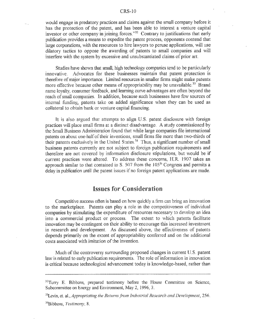would engage in predatory practices and claims against the small company before it has the protection of the patent, and has been able to interest a venture capital investor or other company in joining forces."<sup>32</sup> Contrary to justifications that early publication provides a means to expedite the patent process, opponents contend that large corporations, with the resources to hire lawyers to peruse applications, will use dilatory tactics to oppose the awarding of patents to small companies and will interfere with the system by excessive and unsubstantiated claims of prior art,

Studies have shown that small, high technology companies tend to be particularly innovative, Advocates for these businesses maintain that patent protection is therefore of major importance, Limited resources in smaller firms might make patents more effective because other means of appropriability may be unavailable.<sup>33</sup> Brand name loyalty, consumer feedback, and learning curve advantages are often beyond the reach ofsmall companies. In addition, because such businesses have few sources of internal funding, patents take on added significance when they can be used as collateral to obtain bank or venture capital financing.

It is also argued that attempts to align U.S. patent disclosure with foreign practices will place small firms at a distinct disadvantage. A study commissioned by the Small Business Administration found that while large companies file international patents on about one-half of their inventions, small firms file more than two-thirds of their patents exclusively in the United States.<sup>34</sup> Thus, a significant number of small business patents currently are not subject to foreign publication requirements and therefore are not covered by information disclosure stipulations, but would be if current practices were altered. To address these concerns, H.R. 1907 takes an approach similar to that contained in S. 507 from the 105<sup>th</sup> Congress and permits a delay in publication until the patent issues if no foreign patent applications are made.

#### **Issues for Consideration**

Competitive success often is based on how quickly a firm can bring an innovation to the marketplace. Patents can play a role in the competitiveness of individual companies by stimulating the expenditure of resources necessary to develop an idea into a commercial product or process. The extent to which patents facilitate innovation may be contingent on their ability to encourage this increased investment in research and development. As discussed above, the effectiveness of patents depends primarily on the extent of appropriability conferred and on the additional costs associated with imitation of the invention

Much of the controversy surrounding proposed changes in current **I, S.** patent law is related to early publication requirements. The role of information in innovation is critical because technological advancement today is knowledge-based, rather than

<sup>3</sup>Levin, et. al., *Appropriating the Returns from Industrial Research and Development*, 256. <sup>34</sup>Bibbens, *Testimony*, 8.

<sup>&</sup>lt;sup>32</sup>Terry E. Bibbens, prepared testimony before the House Committee on Science, Subcommittee on Energy and Environment, May 2, 1996, **3.**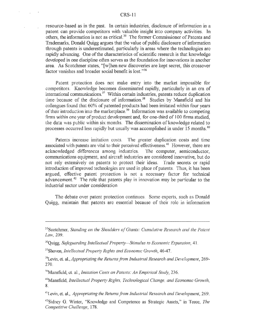resource-based as in the past, In certain industries, disclosure of information in a patent can provide competitors with valuable insight into company activities. In others, the information is not as critical.<sup>35</sup> The former Commissioner of Patents and Trademarks, Donald Quigg argues that the value of public disclosure of information through patents is underestimated, particularly in areas where the technologies are rapidly advancing. One of the characteristics of scientific research is that knowledge developed in one discipline often serves as the foundation for innovations in another area. As Scotchmer states, "[w]hen new discoveries are kept secret, this crossover factor vanishes and broader social benefit is lost."<sup>36</sup>

Patent protection does not make entry into the market impossible for competitors. Knowledge becomes disseminated rapidly, particularly in an era of international communications.<sup>37</sup> Within certain industries, patents reduce duplication time because of the disclosure of information.<sup>38</sup> Studies by Mansfield and his **f --- -es** found that **60%** of patented products had been imitated within four years of their introduction into the marketplace.<sup>39</sup> Information was available to competing firms within one year of product development and, for one-third of 100 firms studied, the data was public within six months. The dissemination of knowledge related to processes occurred less rapidly but usually was accomplished in under 15 months."

Patents increase imitation costs. The greater duplication costs and time associated with patents are vital to their perceived effectiveness.<sup>41</sup> However, there are acknowledged differences among industries. The computer, semiconductor, communications equipment, and aircraft industries are considered innovative, but do not rely extensively on patents to protect their ideas. Trade secrets or rapid introduction of improved technologies are used in place of patents. Thus, it has been argued, effective patent protection is not a necessary factor for technical advancement.<sup>42</sup> The role that patents play in innovation may be particular to the industrial sector under consideration

The debate over patent protection continues. Some experts, such as Donald Quigg, maintain that patents are essential because of their role in information

<sup>&</sup>quot;5 Scotchmer, *Standing on the Shoulders of Giants: Cumulatve Research and the Patent Law,* 209,

<sup>3</sup> "Quigg, *Safeguarding Intellectual Property-Stimulus to Econoric Expansion, 41,*

<sup>37</sup> Shoven, *Intellectual Property Rights and Economic Growth,* 46-47.

<sup>&</sup>lt;sup>38</sup>Levin, et. al., *Appropriating the Returns from Industrial Research and Development*, 269-270.

<sup>&</sup>quot;Mansficld, ct. al., *Imitation Costs an Patents: An Emprical Study,* 236.

<sup>&</sup>lt;sup>40</sup> Mansfield, *Intellectual Property Rights, Technological Change, and Economic Growth,* 8.

<sup>&</sup>lt;sup>41</sup> Levin, et. al., *Appropriating the Returns from Industrial Research and Development, 269.* 

<sup>42</sup>Sidney G. Winter, "Knowledge and Competence as Strategic Assets," in Teece, *The Competitive Challenge,* 178.